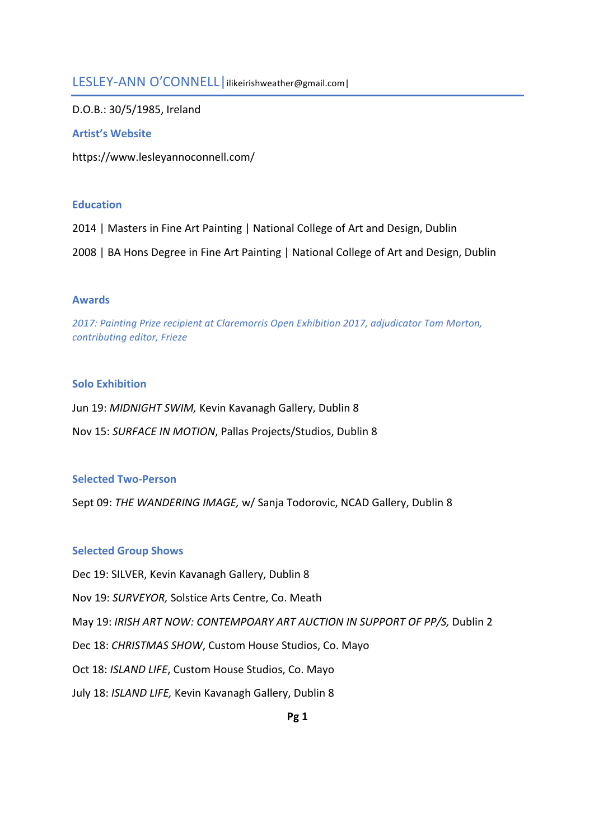# LESLEY-ANN O'CONNELL | ilikeirishweather@gmail.com |

D.O.B.: 30/5/1985, Ireland

# **Artist's Website**

https://www.lesleyannoconnell.com/

# **Education**

2014 | Masters in Fine Art Painting | National College of Art and Design, Dublin

2008 | BA Hons Degree in Fine Art Painting | National College of Art and Design, Dublin

# **Awards**

2017: Painting Prize recipient at Claremorris Open Exhibition 2017, adjudicator Tom Morton, *contributing editor, Frieze* 

# **Solo Exhibition**

Jun 19: *MIDNIGHT SWIM,* Kevin Kavanagh Gallery, Dublin 8 Nov 15: *SURFACE IN MOTION*, Pallas Projects/Studios, Dublin 8

# **Selected Two-Person**

Sept 09: *THE WANDERING IMAGE,* w/ Sanja Todorovic, NCAD Gallery, Dublin 8

# **Selected Group Shows**

Dec 19: SILVER, Kevin Kavanagh Gallery, Dublin 8

Nov 19: *SURVEYOR*, Solstice Arts Centre, Co. Meath

May 19: IRISH ART NOW: CONTEMPOARY ART AUCTION IN SUPPORT OF PP/S, Dublin 2

Dec 18: CHRISTMAS SHOW, Custom House Studios, Co. Mayo

Oct 18: *ISLAND LIFE*, Custom House Studios, Co. Mayo

July 18: *ISLAND LIFE,* Kevin Kavanagh Gallery, Dublin 8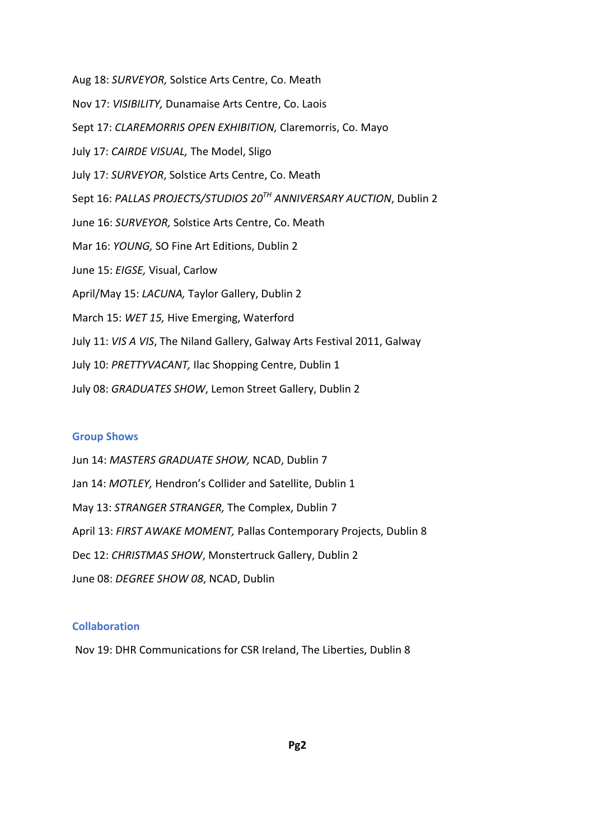Aug 18: *SURVEYOR*, Solstice Arts Centre, Co. Meath Nov 17: *VISIBILITY*, Dunamaise Arts Centre, Co. Laois Sept 17: *CLAREMORRIS OPEN EXHIBITION, Claremorris, Co. Mayo* July 17: CAIRDE VISUAL, The Model, Sligo July 17: *SURVEYOR*, Solstice Arts Centre, Co. Meath Sept 16: *PALLAS PROJECTS/STUDIOS*  $20^{TH}$  *ANNIVERSARY AUCTION*, Dublin 2 June 16: *SURVEYOR*, Solstice Arts Centre, Co. Meath Mar 16: *YOUNG*, SO Fine Art Editions, Dublin 2 June 15: *EIGSE*, Visual, Carlow April/May 15: *LACUNA*, Taylor Gallery, Dublin 2 March 15: WET 15, Hive Emerging, Waterford July 11: *VIS A VIS*, The Niland Gallery, Galway Arts Festival 2011, Galway July 10: PRETTYVACANT, Ilac Shopping Centre, Dublin 1 July 08: *GRADUATES SHOW*, Lemon Street Gallery, Dublin 2

#### **Group Shows**

Jun 14: MASTERS GRADUATE SHOW, NCAD, Dublin 7 Jan 14: *MOTLEY*, Hendron's Collider and Satellite, Dublin 1 May 13: *STRANGER STRANGER*, The Complex, Dublin 7 April 13: FIRST AWAKE MOMENT, Pallas Contemporary Projects, Dublin 8 Dec 12: CHRISTMAS SHOW, Monstertruck Gallery, Dublin 2 June 08: DEGREE SHOW 08, NCAD, Dublin

#### **Collaboration**

Nov 19: DHR Communications for CSR Ireland, The Liberties, Dublin 8